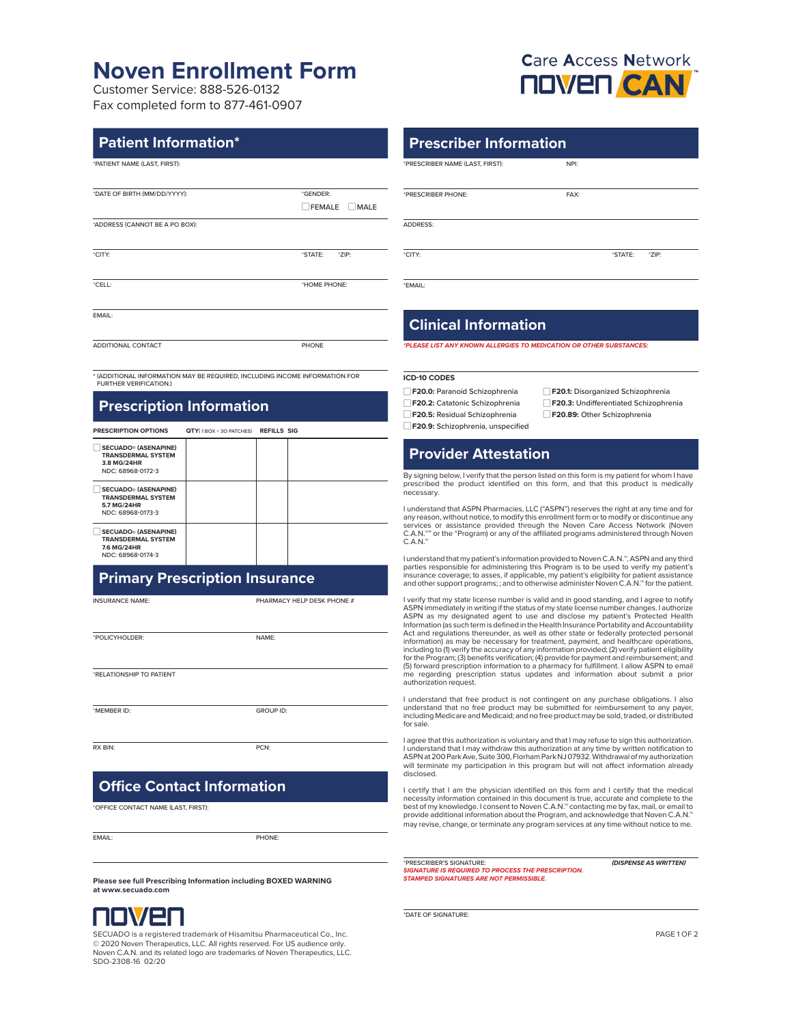# **Noven Enrollment Form**

Customer Service: 888-526-0132 Fax completed form to 877-461-0907

#### **Patient Information\***

\*PATIENT NAME (LAST, FIRST):

| *DATE OF BIRTH (MM/DD/YYYY):   | *GENDER:         |  |  |
|--------------------------------|------------------|--|--|
|                                | FEMALE MALE      |  |  |
| *ADDRESS (CANNOT BE A PO BOX): |                  |  |  |
| *CITY:                         | *STATE:<br>*ZIP: |  |  |
| *CELL:                         | *HOME PHONE:     |  |  |
| EMAIL:                         |                  |  |  |
| ADDITIONAL CONTACT             | PHONE            |  |  |

\* (ADDITIONAL INFORMATION MAY BE REQUIRED, INCLUDING INCOME INFORMATION FOR **FURTHER VERIFICATION** 

### **Prescription Information**

| <b>PRESCRIPTION OPTIONS</b>                                                                   | $QTY(1BOX = 3O$ PATCHES) | REFILLS SIG |  |
|-----------------------------------------------------------------------------------------------|--------------------------|-------------|--|
| <b>SECUADO</b> ® (ASENAPINE)<br><b>TRANSDERMAL SYSTEM</b><br>3.8 MG/24HR<br>NDC: 68968-0172-3 |                          |             |  |
| <b>SECUADO® (ASENAPINE)</b><br><b>TRANSDERMAL SYSTEM</b><br>5.7 MG/24HR<br>NDC: 68968-0173-3  |                          |             |  |
| <b>SECUADO® (ASENAPINE)</b><br><b>TRANSDERMAL SYSTEM</b><br>7.6 MG/24HR<br>NDC: 68968-0174-3  |                          |             |  |

### **Primary Prescription Insurance**

INSURANCE NAME: PHARMACY HELP DESK PHONE #

\*POLICYHOLDER: NAME:

\*RELATIONSHIP TO PATIENT

\*MEMBER ID: GROUP ID:

RX BIN: PCN:

### **Office Contact Information**

\*OFFICE CONTACT NAME (LAST, FIRST):

EMAIL: PHONE:

**Please see full Prescribing Information including BOXED WARNING at www.secuado.com**



SECUADO is a registered trademark of Hisamitsu Pharmaceutical Co., Inc. © 2020 Noven Therapeutics, LLC. All rights reserved. For US audience only. Noven C.A.N. and its related logo are trademarks of Noven Therapeutics, LLC. SDO-2308-16 02/20



#### **Prescriber Information**

\*PRESCRIBER NAME (LAST, FIRST): NPI:

\*PRESCRIBER PHONE: FAX:

ADDRESS:

\*CITY: \*STATE: \*ZIP:

\*EMAIL:

#### **Clinical Information**

*\*PLEASE LIST ANY KNOWN ALLERGIES TO MEDICATION OR OTHER SUBSTANCES:*

#### **ICD-10 CODES**

□**F20.0:** Paranoid Schizophrenia □**F20.1:** Disorganized Schizophrenia □**F20.5:** Residual Schizophrenia □**F20.89:** Other Schizophrenia **F20.9:** Schizophrenia, unspecified

**F20.2:** Catatonic Schizophrenia □ F20.3: Undifferentiated Schizophrenia

## **Provider Attestation**

By signing below, I verify that the person listed on this form is my patient for whom I have prescribed the product identified on this form, and that this product is medically .<br>necessary.

l understand that ASPN Pharmacies, LLC ("ASPN") reserves the right at any time and for<br>any reason, without notice, to modify this enrollment form or to modify or discontinue any<br>services or assistance provided through the C.A.N.™

I understand that my patient's information provided to Noven C.A.N.™, ASPN and any third parties responsible for administering this Program is to be used to verify my patient's insurance coverage; to asses, if applicable, my patient's eligibility for patient assistance<br>and other support programs; ; and to otherwise administer Noven C.A.N.™ for the patient.

I verify that my state license number is valid and in good standing, and I agree to notify ASPN immediately in writing if the status of my state license number changes. I authorize<br>ASPN as my designated agent to use and disclose my patient's Protected Health<br>Information (as such term is defined in the Act and regulations thereunder, as well as other state or federally protected personal information) as may be necessary for treatment, payment, and healthcare operations, including to (1) verify the accuracy of any information provided; (2) verify patient eligibility<br>for the Program; (3) benefits verification; (4) provide for payment and reimbursement; and<br>(5) forward prescription informati me regarding prescription status updates and information about submit a prior authorization request.

I understand that free product is not contingent on any purchase obligations. I also understand that no free product may be submitted for reimbursement to any payer, including Medicare and Medicaid; and no free product may be sold, traded, or distributed for sale.

I agree that this authorization is voluntary and that I may refuse to sign this authorization. I understand that I may withdraw this authorization at any time by written notification to<br>ASPN at 200 Park Ave, Suite 300, Florham Park NJ 07932. Withdrawal of my authorization will terminate my participation in this program but will not affect information already disclosed.

l certify that I am the physician identified on this form and I certify that the medical<br>necessity information contained in this document is true, accurate and complete to the<br>best of my knowledge. I consent to Noven C.A.N may revise, change, or terminate any program services at any time without notice to me.

\*PRESCRIBER'S SIGNATURE: *SIGNATURE IS REQUIRED TO PROCESS THE PRESCRIPTION. STAMPED SIGNATURES ARE NOT PERMISSIBLE. (DISPENSE AS WRITTEN)*

\*DATE OF SIGNATURE:

PAGE 1 OF 2